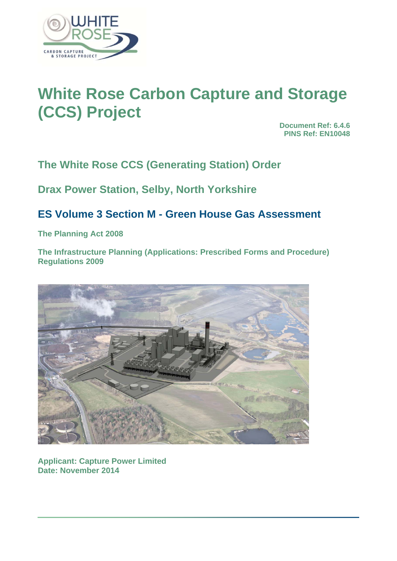

# **White Rose Carbon Capture and Storage (CCS) Project**

**Document Ref: 6.4.6 PINS Ref: EN10048**

**The White Rose CCS (Generating Station) Order** 

**Drax Power Station, Selby, North Yorkshire** 

# **ES Volume 3 Section M - Green House Gas Assessment**

**The Planning Act 2008** 

**The Infrastructure Planning (Applications: Prescribed Forms and Procedure) Regulations 2009** 



**Applicant: Capture Power Limited Date: November 2014**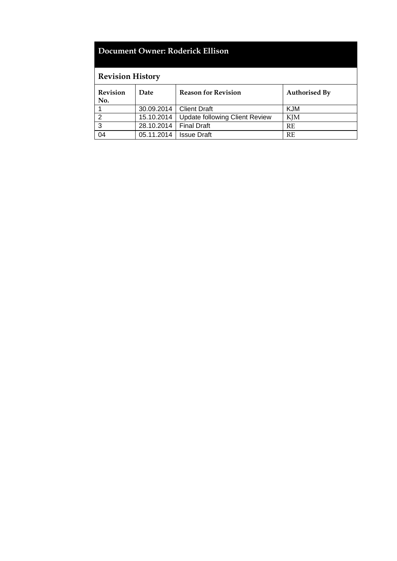# **Document Owner: Roderick Ellison**

# **Revision History**

| <b>Revision</b><br>No. | Date                     | <b>Reason for Revision</b>                  | <b>Authorised By</b> |
|------------------------|--------------------------|---------------------------------------------|----------------------|
|                        |                          | 30.09.2014   Client Draft                   | <b>KJM</b>           |
|                        |                          | 15.10.2014   Update following Client Review | KJM                  |
| 3                      | 28.10.2014   Final Draft |                                             | <b>RE</b>            |
| 04                     | 05.11.2014               | <b>Issue Draft</b>                          | <b>RE</b>            |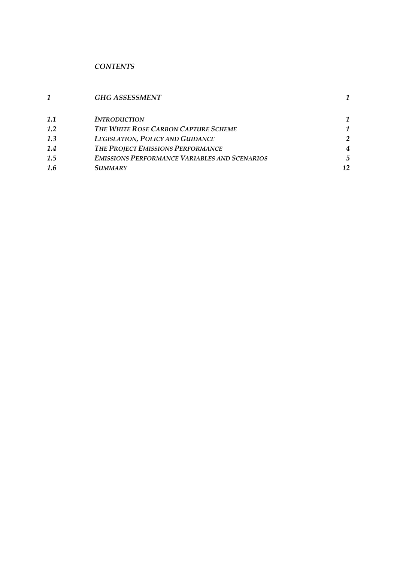# *CONTENTS*

|     | <b>GHG ASSESSMENT</b>                                |    |
|-----|------------------------------------------------------|----|
| 1.1 | <b>INTRODUCTION</b>                                  |    |
| 1.2 | THE WHITE ROSE CARBON CAPTURE SCHEME                 |    |
| 1.3 | <b>LEGISLATION, POLICY AND GUIDANCE</b>              | 2  |
| 1.4 | THE PROJECT EMISSIONS PERFORMANCE                    | 4  |
| 1.5 | <b>EMISSIONS PERFORMANCE VARIABLES AND SCENARIOS</b> | 5  |
| 1.6 | <i>SUMMARY</i>                                       | 12 |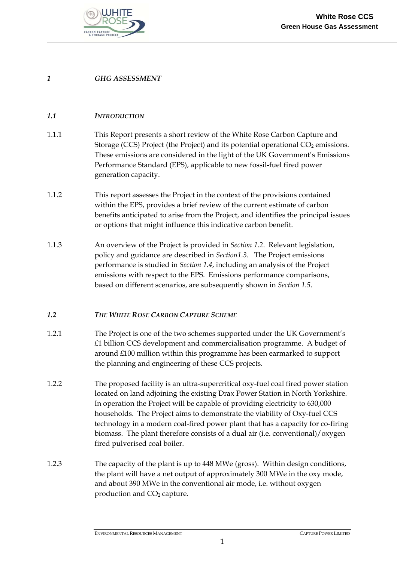

# *1 GHG ASSESSMENT*

## *1.1 INTRODUCTION*

- 1.1.1 This Report presents a short review of the White Rose Carbon Capture and Storage (CCS) Project (the Project) and its potential operational  $CO<sub>2</sub>$  emissions. These emissions are considered in the light of the UK Government's Emissions Performance Standard (EPS), applicable to new fossil-fuel fired power generation capacity.
- 1.1.2 This report assesses the Project in the context of the provisions contained within the EPS, provides a brief review of the current estimate of carbon benefits anticipated to arise from the Project, and identifies the principal issues or options that might influence this indicative carbon benefit.
- 1.1.3 An overview of the Project is provided in *Section 1.2*. Relevant legislation, policy and guidance are described in *Section1.3.* The Project emissions performance is studied in *Section 1.4*, including an analysis of the Project emissions with respect to the EPS. Emissions performance comparisons, based on different scenarios, are subsequently shown in *Section 1.5*.

#### *1.2 THE WHITE ROSE CARBON CAPTURE SCHEME*

- 1.2.1 The Project is one of the two schemes supported under the UK Government's £1 billion CCS development and commercialisation programme. A budget of around £100 million within this programme has been earmarked to support the planning and engineering of these CCS projects.
- 1.2.2 The proposed facility is an ultra-supercritical oxy-fuel coal fired power station located on land adjoining the existing Drax Power Station in North Yorkshire. In operation the Project will be capable of providing electricity to 630,000 households. The Project aims to demonstrate the viability of Oxy-fuel CCS technology in a modern coal-fired power plant that has a capacity for co-firing biomass. The plant therefore consists of a dual air (i.e. conventional)/oxygen fired pulverised coal boiler.
- 1.2.3 The capacity of the plant is up to 448 MWe (gross). Within design conditions, the plant will have a net output of approximately 300 MWe in the oxy mode, and about 390 MWe in the conventional air mode, i.e. without oxygen production and CO<sub>2</sub> capture.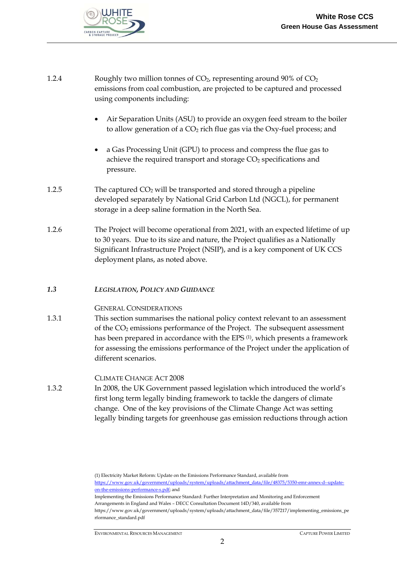

| 1.2.4 | Roughly two million tonnes of $CO2$ , representing around 90% of $CO2$<br>emissions from coal combustion, are projected to be captured and processed<br>using components including:                                                                                                                                                                                            |
|-------|--------------------------------------------------------------------------------------------------------------------------------------------------------------------------------------------------------------------------------------------------------------------------------------------------------------------------------------------------------------------------------|
|       | Air Separation Units (ASU) to provide an oxygen feed stream to the boiler<br>to allow generation of a CO <sub>2</sub> rich flue gas via the Oxy-fuel process; and                                                                                                                                                                                                              |
|       | a Gas Processing Unit (GPU) to process and compress the flue gas to<br>$\bullet$<br>achieve the required transport and storage CO <sub>2</sub> specifications and<br>pressure.                                                                                                                                                                                                 |
| 1.2.5 | The captured $CO2$ will be transported and stored through a pipeline<br>developed separately by National Grid Carbon Ltd (NGCL), for permanent<br>storage in a deep saline formation in the North Sea.                                                                                                                                                                         |
| 1.2.6 | The Project will become operational from 2021, with an expected lifetime of up<br>to 30 years. Due to its size and nature, the Project qualifies as a Nationally<br>Significant Infrastructure Project (NSIP), and is a key component of UK CCS<br>deployment plans, as noted above.                                                                                           |
| 1.3   | LEGISLATION, POLICY AND GUIDANCE                                                                                                                                                                                                                                                                                                                                               |
|       | <b>GENERAL CONSIDERATIONS</b>                                                                                                                                                                                                                                                                                                                                                  |
| 1.3.1 | This section summarises the national policy context relevant to an assessment<br>of the CO <sub>2</sub> emissions performance of the Project. The subsequent assessment<br>has been prepared in accordance with the EPS <sup>(1)</sup> , which presents a framework<br>for assessing the emissions performance of the Project under the application of<br>different scenarios. |
| 1.3.2 | <b>CLIMATE CHANGE ACT 2008</b><br>In 2008, the UK Government passed legislation which introduced the world's<br>first long term legally binding framework to tackle the dangers of climate<br>change. One of the key provisions of the Climate Change Act was setting<br>legally binding targets for greenhouse gas emission reductions through action                         |

(1) Electricity Market Reform: Update on the Emissions Performance Standard, available from https://www.gov.uk/government/uploads/system/uploads/attachment\_data/file/48375/5350-emr-annex-d--updateon-the-emissions-performance-s.pdf; and

Implementing the Emissions Performance Standard: Further Interpretation and Monitoring and Enforcement Arrangements in England and Wales – DECC Consultation Document 14D/340, available from

https://www.gov.uk/government/uploads/system/uploads/attachment\_data/file/357217/implementing\_emissions\_pe rformance\_standard.pdf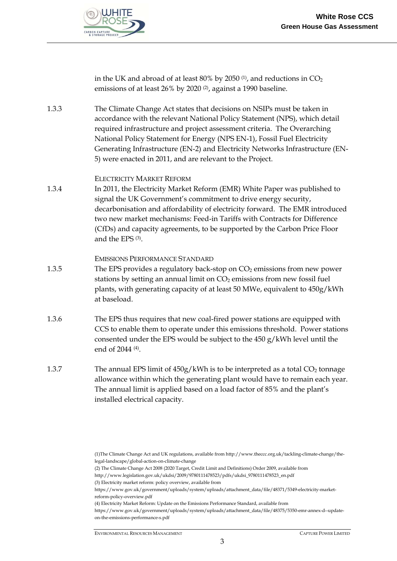

in the UK and abroad of at least  $80\%$  by 2050  $(1)$ , and reductions in CO<sub>2</sub> emissions of at least 26% by 2020 (2), against a 1990 baseline.

1.3.3 The Climate Change Act states that decisions on NSIPs must be taken in accordance with the relevant National Policy Statement (NPS), which detail required infrastructure and project assessment criteria. The Overarching National Policy Statement for Energy (NPS EN-1), Fossil Fuel Electricity Generating Infrastructure (EN-2) and Electricity Networks Infrastructure (EN-5) were enacted in 2011, and are relevant to the Project.

#### ELECTRICITY MARKET REFORM

1.3.4 In 2011, the Electricity Market Reform (EMR) White Paper was published to signal the UK Government's commitment to drive energy security, decarbonisation and affordability of electricity forward. The EMR introduced two new market mechanisms: Feed-in Tariffs with Contracts for Difference (CfDs) and capacity agreements, to be supported by the Carbon Price Floor and the EPS (3).

#### EMISSIONS PERFORMANCE STANDARD

- 1.3.5 The EPS provides a regulatory back-stop on CO<sub>2</sub> emissions from new power stations by setting an annual limit on  $CO<sub>2</sub>$  emissions from new fossil fuel plants, with generating capacity of at least 50 MWe, equivalent to 450g/kWh at baseload.
- 1.3.6 The EPS thus requires that new coal-fired power stations are equipped with CCS to enable them to operate under this emissions threshold. Power stations consented under the EPS would be subject to the 450 g/kWh level until the end of 2044 (4).
- 1.3.7 The annual EPS limit of  $450g/kWh$  is to be interpreted as a total  $CO<sub>2</sub>$  tonnage allowance within which the generating plant would have to remain each year. The annual limit is applied based on a load factor of 85% and the plant's installed electrical capacity.

- (2) The Climate Change Act 2008 (2020 Target, Credit Limit and Definitions) Order 2009, available from
- http://www.legislation.gov.uk/ukdsi/2009/9780111478523/pdfs/ukdsi\_9780111478523\_en.pdf

<sup>(1)</sup>The Climate Change Act and UK regulations, available from http://www.theccc.org.uk/tackling-climate-change/thelegal-landscape/global-action-on-climate-change

<sup>(3)</sup> Electricity market reform: policy overview, available from

https://www.gov.uk/government/uploads/system/uploads/attachment\_data/file/48371/5349-electricity-marketreform-policy-overview.pdf

<sup>(4)</sup> Electricity Market Reform: Update on the Emissions Performance Standard, available from

https://www.gov.uk/government/uploads/system/uploads/attachment\_data/file/48375/5350-emr-annex-d--updateon-the-emissions-performance-s.pdf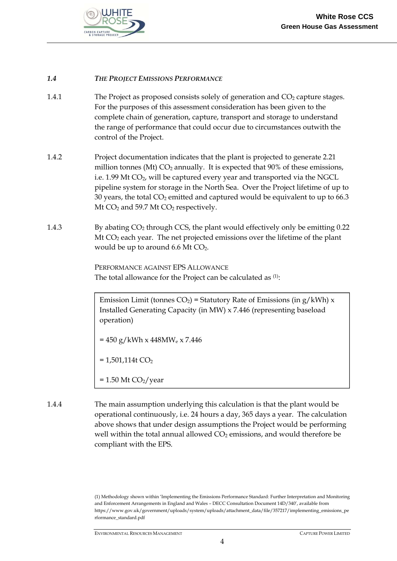

# *1.4 THE PROJECT EMISSIONS PERFORMANCE*

- 1.4.1 The Project as proposed consists solely of generation and  $CO<sub>2</sub>$  capture stages. For the purposes of this assessment consideration has been given to the complete chain of generation, capture, transport and storage to understand the range of performance that could occur due to circumstances outwith the control of the Project.
- 1.4.2 Project documentation indicates that the plant is projected to generate 2.21 million tonnes (Mt)  $CO<sub>2</sub>$  annually. It is expected that 90% of these emissions, i.e. 1.99 Mt  $CO<sub>2</sub>$ , will be captured every year and transported via the NGCL pipeline system for storage in the North Sea. Over the Project lifetime of up to 30 years, the total  $CO<sub>2</sub>$  emitted and captured would be equivalent to up to 66.3 Mt  $CO<sub>2</sub>$  and 59.7 Mt  $CO<sub>2</sub>$  respectively.
- 1.4.3 By abating CO2 through CCS, the plant would effectively only be emitting 0.22 Mt  $CO<sub>2</sub>$  each year. The net projected emissions over the lifetime of the plant would be up to around 6.6 Mt  $CO<sub>2</sub>$ .

 PERFORMANCE AGAINST EPS ALLOWANCE The total allowance for the Project can be calculated as <sup>(1)</sup>:

Emission Limit (tonnes  $CO<sub>2</sub>$ ) = Statutory Rate of Emissions (in g/kWh) x Installed Generating Capacity (in MW) x 7.446 (representing baseload operation)

 $= 450$  g/kWh x 448MW<sub>e</sub> x 7.446

 $= 1,501,114t CO<sub>2</sub>$ 

- $= 1.50$  Mt CO<sub>2</sub>/year
- 1.4.4 The main assumption underlying this calculation is that the plant would be operational continuously, i.e. 24 hours a day, 365 days a year. The calculation above shows that under design assumptions the Project would be performing well within the total annual allowed  $CO<sub>2</sub>$  emissions, and would therefore be compliant with the EPS.

(1) Methodology shown within 'Implementing the Emissions Performance Standard: Further Interpretation and Monitoring and Enforcement Arrangements in England and Wales – DECC Consultation Document 14D/340', available from https://www.gov.uk/government/uploads/system/uploads/attachment\_data/file/357217/implementing\_emissions\_pe rformance\_standard.pdf

ENVIRONMENTAL RESOURCES MANAGEMENT CAPTURE POWER LIMITED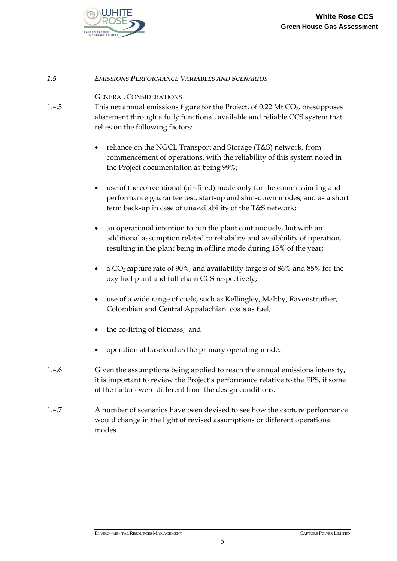

#### *1.5 EMISSIONS PERFORMANCE VARIABLES AND SCENARIOS*

#### GENERAL CONSIDERATIONS

- 1.4.5 This net annual emissions figure for the Project, of 0.22 Mt CO<sub>2</sub>, presupposes abatement through a fully functional, available and reliable CCS system that relies on the following factors:
	- reliance on the NGCL Transport and Storage (T&S) network, from commencement of operations, with the reliability of this system noted in the Project documentation as being 99%;
	- use of the conventional (air-fired) mode only for the commissioning and performance guarantee test, start-up and shut-down modes, and as a short term back-up in case of unavailability of the T&S network;
	- an operational intention to run the plant continuously, but with an additional assumption related to reliability and availability of operation, resulting in the plant being in offline mode during 15% of the year;
	- a CO2 capture rate of 90%, and availability targets of 86% and 85% for the oxy fuel plant and full chain CCS respectively;
	- use of a wide range of coals, such as Kellingley, Maltby, Ravenstruther, Colombian and Central Appalachian coals as fuel;
	- the co-firing of biomass; and
	- operation at baseload as the primary operating mode.
- 1.4.6 Given the assumptions being applied to reach the annual emissions intensity, it is important to review the Project's performance relative to the EPS, if some of the factors were different from the design conditions.
- 1.4.7 A number of scenarios have been devised to see how the capture performance would change in the light of revised assumptions or different operational modes.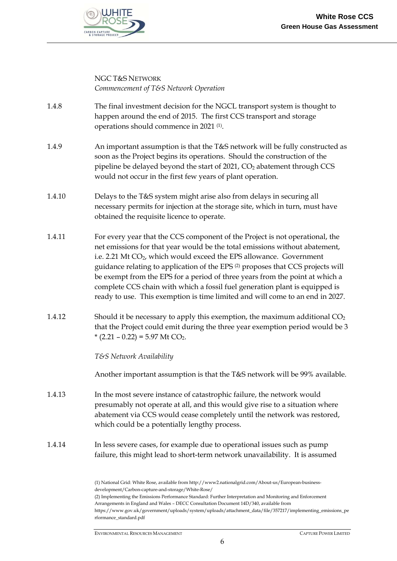

#### NGC T&S NETWORK *Commencement of T&S Network Operation*

- 1.4.8 The final investment decision for the NGCL transport system is thought to happen around the end of 2015. The first CCS transport and storage operations should commence in 2021 (1).
- 1.4.9 An important assumption is that the T&S network will be fully constructed as soon as the Project begins its operations. Should the construction of the pipeline be delayed beyond the start of  $2021$ ,  $CO<sub>2</sub>$  abatement through CCS would not occur in the first few years of plant operation.
- 1.4.10 Delays to the T&S system might arise also from delays in securing all necessary permits for injection at the storage site, which in turn, must have obtained the requisite licence to operate.
- 1.4.11 For every year that the CCS component of the Project is not operational, the net emissions for that year would be the total emissions without abatement, i.e. 2.21 Mt CO<sub>2</sub>, which would exceed the EPS allowance. Government guidance relating to application of the EPS (2) proposes that CCS projects will be exempt from the EPS for a period of three years from the point at which a complete CCS chain with which a fossil fuel generation plant is equipped is ready to use. This exemption is time limited and will come to an end in 2027.
- 1.4.12 Should it be necessary to apply this exemption, the maximum additional  $CO<sub>2</sub>$ that the Project could emit during the three year exemption period would be 3  $*(2.21 - 0.22) = 5.97$  Mt CO<sub>2</sub>.

*T&S Network Availability* 

Another important assumption is that the T&S network will be 99% available.

- 1.4.13 In the most severe instance of catastrophic failure, the network would presumably not operate at all, and this would give rise to a situation where abatement via CCS would cease completely until the network was restored, which could be a potentially lengthy process.
- 1.4.14 In less severe cases, for example due to operational issues such as pump failure, this might lead to short-term network unavailability. It is assumed

<sup>(1)</sup> National Grid: White Rose, available from http://www2.nationalgrid.com/About-us/European-businessdevelopment/Carbon-capture-and-storage/White-Rose/

<sup>(2)</sup> Implementing the Emissions Performance Standard: Further Interpretation and Monitoring and Enforcement Arrangements in England and Wales – DECC Consultation Document 14D/340, available from

https://www.gov.uk/government/uploads/system/uploads/attachment\_data/file/357217/implementing\_emissions\_pe rformance\_standard.pdf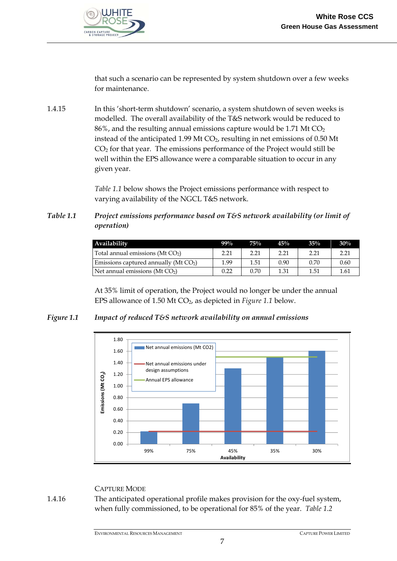

that such a scenario can be represented by system shutdown over a few weeks for maintenance.

1.4.15 In this 'short-term shutdown' scenario, a system shutdown of seven weeks is modelled. The overall availability of the T&S network would be reduced to  $86\%$ , and the resulting annual emissions capture would be 1.71 Mt CO<sub>2</sub> instead of the anticipated 1.99 Mt  $CO<sub>2</sub>$ , resulting in net emissions of 0.50 Mt  $CO<sub>2</sub>$  for that year. The emissions performance of the Project would still be well within the EPS allowance were a comparable situation to occur in any given year.

> *Table 1.1* below shows the Project emissions performance with respect to varying availability of the NGCL T&S network.

*Table 1.1 Project emissions performance based on T&S network availability (or limit of operation)* 

| Availability                            | $99\%$ | 75%  | 45%  | $35\%$ | 30%  |
|-----------------------------------------|--------|------|------|--------|------|
| Total annual emissions (Mt $CO2$ )      | 2.21   | 2.21 | 2.21 | 2.21   | 2.21 |
| Emissions captured annually (Mt $CO2$ ) | 1.99   | 1.51 | 0.90 | 0.70   | 0.60 |
| Net annual emissions ( $Mt CO2$ )       | 0.22   | 0.70 | 1.31 | 1.51   | 1.61 |

At 35% limit of operation, the Project would no longer be under the annual EPS allowance of 1.50 Mt CO2, as depicted in *Figure 1.1* below.

# *Figure 1.1 Impact of reduced T&S network availability on annual emissions*



#### CAPTURE MODE

1.4.16 The anticipated operational profile makes provision for the oxy-fuel system, when fully commissioned, to be operational for 85% of the year. *Table 1.2*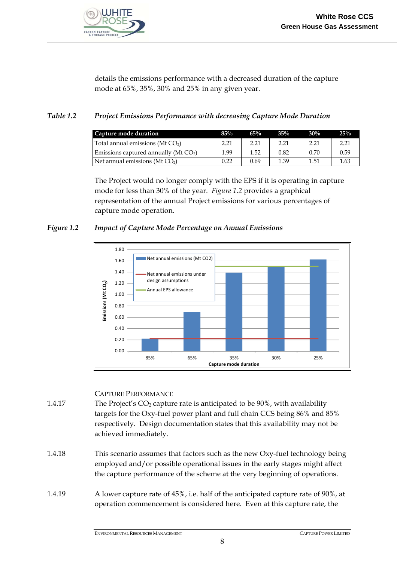

details the emissions performance with a decreased duration of the capture mode at 65%, 35%, 30% and 25% in any given year.

# *Table 1.2 Project Emissions Performance with decreasing Capture Mode Duration*

| Capture mode duration                    | 85%  | $65\%$ | $35\%$ | 30%  | 25%  |
|------------------------------------------|------|--------|--------|------|------|
| Total annual emissions (Mt $CO2$ )       | 2.21 | 2.21   | 2.21   | 2.21 | 2.21 |
| Emissions captured annually ( $Mt CO2$ ) | 1.99 | 1.52   | 0.82   | 0.70 | 0.59 |
| Net annual emissions ( $Mt CO2$ )        | 0.22 | 0.69   | 1.39   | 1.51 | 1.63 |

The Project would no longer comply with the EPS if it is operating in capture mode for less than 30% of the year. *Figure 1.2* provides a graphical representation of the annual Project emissions for various percentages of capture mode operation.

## *Figure 1.2 Impact of Capture Mode Percentage on Annual Emissions*



#### CAPTURE PERFORMANCE

- 1.4.17 The Project's  $CO<sub>2</sub>$  capture rate is anticipated to be 90%, with availability targets for the Oxy-fuel power plant and full chain CCS being 86% and 85% respectively. Design documentation states that this availability may not be achieved immediately.
- 1.4.18 This scenario assumes that factors such as the new Oxy-fuel technology being employed and/or possible operational issues in the early stages might affect the capture performance of the scheme at the very beginning of operations.
- 1.4.19 A lower capture rate of 45%, i.e. half of the anticipated capture rate of 90%, at operation commencement is considered here. Even at this capture rate, the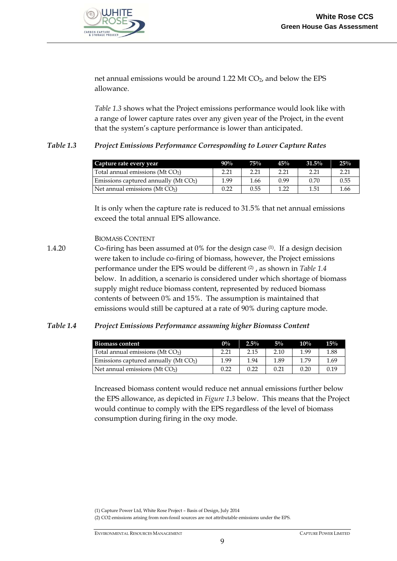

net annual emissions would be around 1.22 Mt CO<sub>2</sub>, and below the EPS allowance.

*Table 1.3* shows what the Project emissions performance would look like with a range of lower capture rates over any given year of the Project, in the event that the system's capture performance is lower than anticipated.

## *Table 1.3 Project Emissions Performance Corresponding to Lower Capture Rates*

| Capture rate every year                  | $90\%$ | 75%  | 45%  | $31.5\%$ | 25%  |
|------------------------------------------|--------|------|------|----------|------|
| Total annual emissions (Mt $CO2$ )       | 2.21   | 2.21 | 2.21 | 2.21     | 2.21 |
| Emissions captured annually ( $Mt CO2$ ) | 1.99   | 1.66 | 0.99 | 0.70     | 0.55 |
| Net annual emissions (Mt $CO2$ )         | 0.22   | 0.55 | 1.22 | 1.51     | 1.66 |

It is only when the capture rate is reduced to 31.5% that net annual emissions exceed the total annual EPS allowance.

#### BIOMASS CONTENT

1.4.20 Co-firing has been assumed at 0% for the design case (1). If a design decision were taken to include co-firing of biomass, however, the Project emissions performance under the EPS would be different (2) , as shown in *Table 1.4* below. In addition, a scenario is considered under which shortage of biomass supply might reduce biomass content, represented by reduced biomass contents of between 0% and 15%. The assumption is maintained that emissions would still be captured at a rate of 90% during capture mode.

#### *Table 1.4 Project Emissions Performance assuming higher Biomass Content*

| <b>Biomass content</b>                  | $0\%$ | $2.5\%$ | $5\%$ | $10\%$ | 15%  |
|-----------------------------------------|-------|---------|-------|--------|------|
| Total annual emissions (Mt $CO2$ )      | 2.21  | 2.15    | 2.10  | 1.99   | 1.88 |
| Emissions captured annually (Mt $CO2$ ) | 1.99  | 1.94    | 1.89  | 1.79   | 1.69 |
| Net annual emissions (Mt $CO2$ )        | 0.22  | 0.22    | 0.21  | 0.20   | 0.19 |

Increased biomass content would reduce net annual emissions further below the EPS allowance, as depicted in *Figure 1.3* below. This means that the Project would continue to comply with the EPS regardless of the level of biomass consumption during firing in the oxy mode.

(1) Capture Power Ltd, White Rose Project – Basis of Design, July 2014 (2) CO2 emissions arising from non-fossil sources are not attributable emissions under the EPS.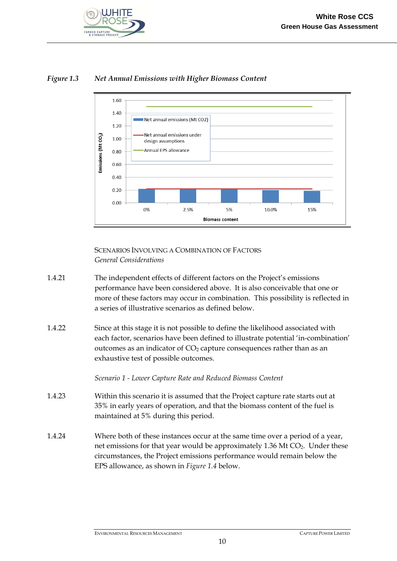

# *Figure 1.3 Net Annual Emissions with Higher Biomass Content*



 SCENARIOS INVOLVING A COMBINATION OF FACTORS *General Considerations* 

- 1.4.21 The independent effects of different factors on the Project's emissions performance have been considered above. It is also conceivable that one or more of these factors may occur in combination. This possibility is reflected in a series of illustrative scenarios as defined below.
- 1.4.22 Since at this stage it is not possible to define the likelihood associated with each factor, scenarios have been defined to illustrate potential 'in-combination' outcomes as an indicator of  $CO<sub>2</sub>$  capture consequences rather than as an exhaustive test of possible outcomes.

*Scenario 1 - Lower Capture Rate and Reduced Biomass Content* 

- 1.4.23 Within this scenario it is assumed that the Project capture rate starts out at 35% in early years of operation, and that the biomass content of the fuel is maintained at 5% during this period.
- 1.4.24 Where both of these instances occur at the same time over a period of a year, net emissions for that year would be approximately 1.36 Mt CO<sub>2</sub>. Under these circumstances, the Project emissions performance would remain below the EPS allowance, as shown in *Figure 1.4* below.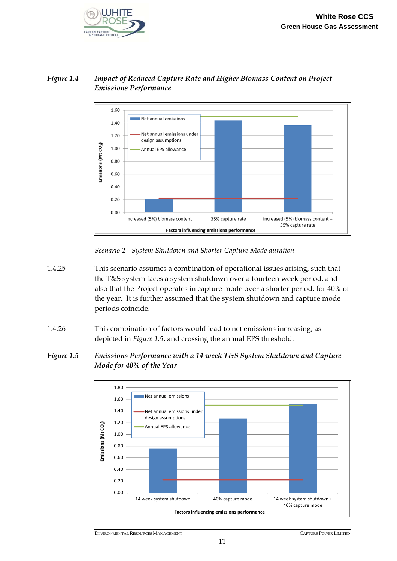

# *Figure 1.4 Impact of Reduced Capture Rate and Higher Biomass Content on Project Emissions Performance*



*Scenario 2 - System Shutdown and Shorter Capture Mode duration* 

- 1.4.25 This scenario assumes a combination of operational issues arising, such that the T&S system faces a system shutdown over a fourteen week period, and also that the Project operates in capture mode over a shorter period, for 40% of the year. It is further assumed that the system shutdown and capture mode periods coincide.
- 1.4.26 This combination of factors would lead to net emissions increasing, as depicted in *Figure 1.5*, and crossing the annual EPS threshold.
- *Figure 1.5 Emissions Performance with a 14 week T&S System Shutdown and Capture Mode for 40% of the Year*



ENVIRONMENTAL RESOURCES MANAGEMENT CAPTURE POWER LIMITED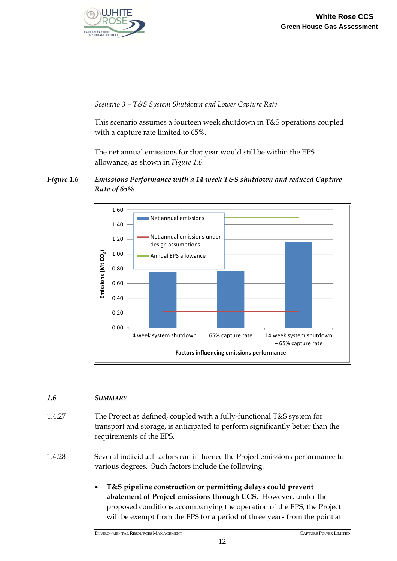

*Scenario 3 – T&S System Shutdown and Lower Capture Rate* 

This scenario assumes a fourteen week shutdown in T&S operations coupled with a capture rate limited to 65%.

The net annual emissions for that year would still be within the EPS allowance, as shown in *Figure 1.6*.





# *1.6 SUMMARY*

1.4.27 The Project as defined, coupled with a fully-functional T&S system for transport and storage, is anticipated to perform significantly better than the requirements of the EPS.

1.4.28 Several individual factors can influence the Project emissions performance to various degrees. Such factors include the following.

> **T&S pipeline construction or permitting delays could prevent abatement of Project emissions through CCS.** However, under the proposed conditions accompanying the operation of the EPS, the Project will be exempt from the EPS for a period of three years from the point at